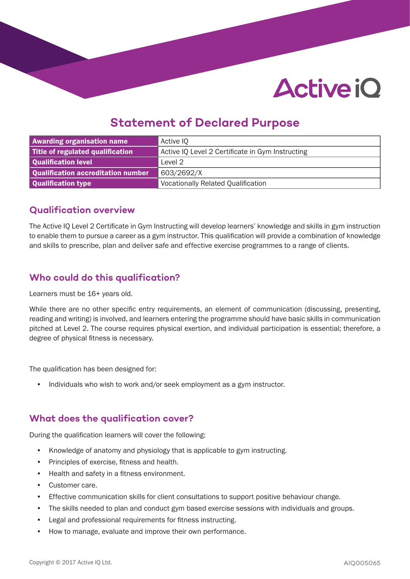# **Active iO**

## **Statement of Declared Purpose**

| <b>Awarding organisation name</b>  | Active IQ                                        |
|------------------------------------|--------------------------------------------------|
| Title of regulated qualification   | Active IQ Level 2 Certificate in Gym Instructing |
| Qualification level                | Level 2                                          |
| Qualification accreditation number | 603/2692/X                                       |
| Qualification type                 | <b>Vocationally Related Qualification</b>        |

#### **Qualification overview**

The Active IQ Level 2 Certificate in Gym Instructing will develop learners' knowledge and skills in gym instruction to enable them to pursue a career as a gym instructor. This qualification will provide a combination of knowledge and skills to prescribe, plan and deliver safe and effective exercise programmes to a range of clients.

### **Who could do this qualification?**

Learners must be 16+ years old.

While there are no other specific entry requirements, an element of communication (discussing, presenting, reading and writing) is involved, and learners entering the programme should have basic skills in communication pitched at Level 2. The course requires physical exertion, and individual participation is essential; therefore, a degree of physical fitness is necessary.

The qualification has been designed for:

• Individuals who wish to work and/or seek employment as a gym instructor.

#### **What does the qualification cover?**

During the qualification learners will cover the following:

- Knowledge of anatomy and physiology that is applicable to gym instructing.
- Principles of exercise, fitness and health.
- Health and safety in a fitness environment.
- Customer care.
- Effective communication skills for client consultations to support positive behaviour change.
- The skills needed to plan and conduct gym based exercise sessions with individuals and groups.
- Legal and professional requirements for fitness instructing.
- How to manage, evaluate and improve their own performance.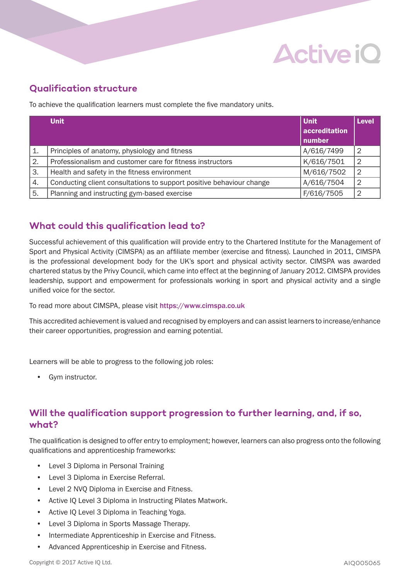# **Active iO**

### **Qualification structure**

To achieve the qualification learners must complete the five mandatory units.

|                | <b>Unit</b>                                                          | <b>Unit</b><br>accreditation<br>number | <b>Level</b>   |
|----------------|----------------------------------------------------------------------|----------------------------------------|----------------|
| $\mathbf{1}$ . | Principles of anatomy, physiology and fitness                        | A/616/7499                             | $\overline{2}$ |
| 2.             | Professionalism and customer care for fitness instructors            | K/616/7501                             | $\overline{2}$ |
| 3.             | Health and safety in the fitness environment                         | M/616/7502                             | $\cdot$ 2      |
| 4.             | Conducting client consultations to support positive behaviour change | A/616/7504                             | 2              |
| 5.             | Planning and instructing gym-based exercise                          | F/616/7505                             | $\overline{2}$ |

### **What could this qualification lead to?**

Successful achievement of this qualification will provide entry to the Chartered Institute for the Management of Sport and Physical Activity (CIMSPA) as an affiliate member (exercise and fitness). Launched in 2011, CIMSPA is the professional development body for the UK's sport and physical activity sector. CIMSPA was awarded chartered status by the Privy Council, which came into effect at the beginning of January 2012. CIMSPA provides leadership, support and empowerment for professionals working in sport and physical activity and a single unified voice for the sector.

To read more about CIMSPA, please visit https://www.cimspa.co.uk

This accredited achievement is valued and recognised by employers and can assist learners to increase/enhance their career opportunities, progression and earning potential.

Learners will be able to progress to the following job roles:

• Gym instructor.

#### **Will the qualification support progression to further learning, and, if so, what?**

The qualification is designed to offer entry to employment; however, learners can also progress onto the following qualifications and apprenticeship frameworks:

- Level 3 Diploma in Personal Training
- Level 3 Diploma in Exercise Referral.
- Level 2 NVQ Diploma in Exercise and Fitness.
- Active IQ Level 3 Diploma in Instructing Pilates Matwork.
- Active IQ Level 3 Diploma in Teaching Yoga.
- Level 3 Diploma in Sports Massage Therapy.
- Intermediate Apprenticeship in Exercise and Fitness.
- Advanced Apprenticeship in Exercise and Fitness.